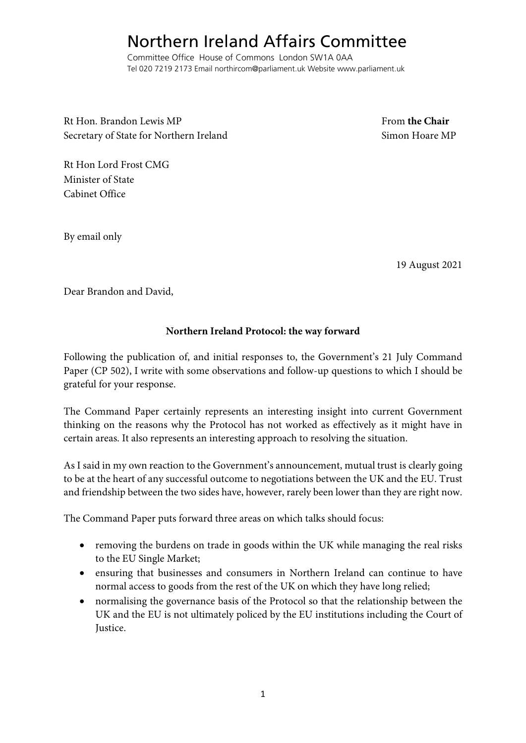## Northern Ireland Affairs Committee

Committee Office House of Commons London SW1A 0AA Tel 020 7219 2173 Email northircom@parliament.uk Website www.parliament.uk

Rt Hon. Brandon Lewis MP **From the Chair** From the Chair Secretary of State for Northern Ireland Simon Hoare MP

Rt Hon Lord Frost CMG Minister of State Cabinet Office

By email only

19 August 2021

Dear Brandon and David,

## **Northern Ireland Protocol: the way forward**

Following the publication of, and initial responses to, the Government's 21 July Command Paper (CP 502), I write with some observations and follow-up questions to which I should be grateful for your response.

The Command Paper certainly represents an interesting insight into current Government thinking on the reasons why the Protocol has not worked as effectively as it might have in certain areas. It also represents an interesting approach to resolving the situation.

As I said in my own reaction to the Government's announcement, mutual trust is clearly going to be at the heart of any successful outcome to negotiations between the UK and the EU. Trust and friendship between the two sides have, however, rarely been lower than they are right now.

The Command Paper puts forward three areas on which talks should focus:

- removing the burdens on trade in goods within the UK while managing the real risks to the EU Single Market;
- ensuring that businesses and consumers in Northern Ireland can continue to have normal access to goods from the rest of the UK on which they have long relied;
- normalising the governance basis of the Protocol so that the relationship between the UK and the EU is not ultimately policed by the EU institutions including the Court of Justice.